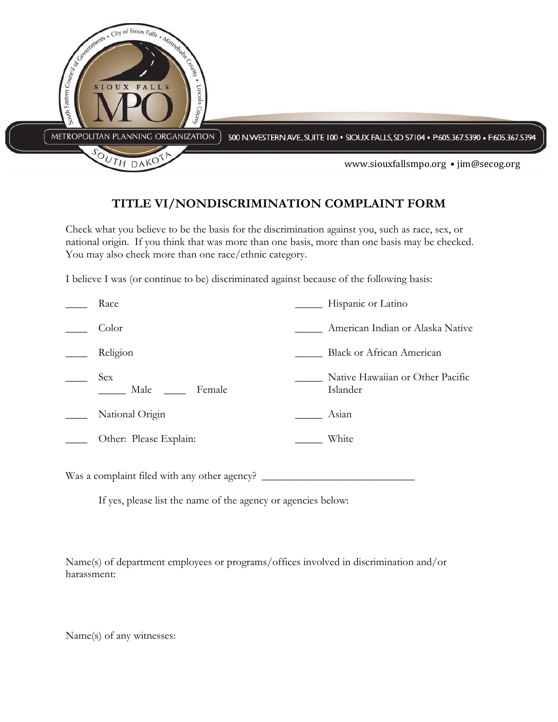

## **TITLE VI/NONDISCRIMINATION COMPLAINT FORM**

Check what you believe to be the basis for the discrimination against you, such as race, sex, or national origin. If you think that was more than one basis, more than one basis may be checked. You may also check more than one race/ethnic category.

I believe I was (or continue to be) discriminated against because of the following basis:

| Race                         | Hispanic or Latino                           |
|------------------------------|----------------------------------------------|
| Color                        | American Indian or Alaska Native             |
| Religion                     | <b>Black or African American</b>             |
| <b>Sex</b><br>Male<br>Female | Native Hawaiian or Other Pacific<br>Islander |
| National Origin              | Asian                                        |
| Other: Please Explain:       | White                                        |
|                              |                                              |

Was a complaint filed with any other agency? \_

If yes, please list the name of the agency or agencies below:

Name(s) of department employees or programs/offices involved in discrimination and/or harassment:

Name(s) of any witnesses: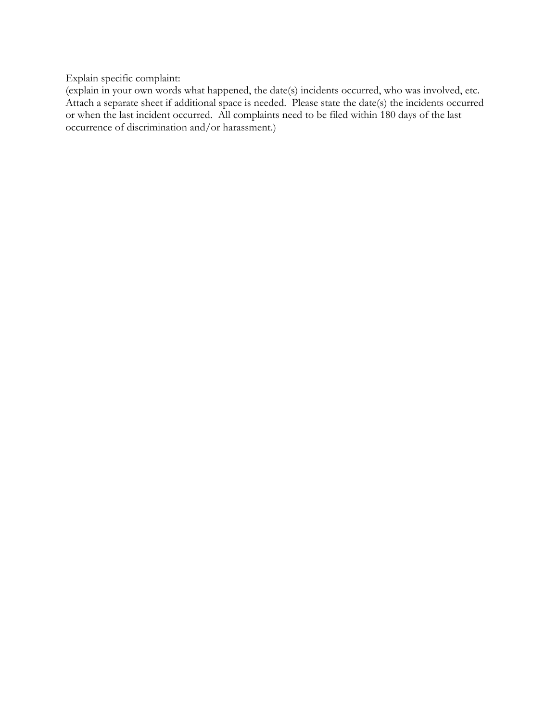Explain specific complaint:

(explain in your own words what happened, the date(s) incidents occurred, who was involved, etc. Attach a separate sheet if additional space is needed. Please state the date(s) the incidents occurred or when the last incident occurred. All complaints need to be filed within 180 days of the last occurrence of discrimination and/or harassment.)